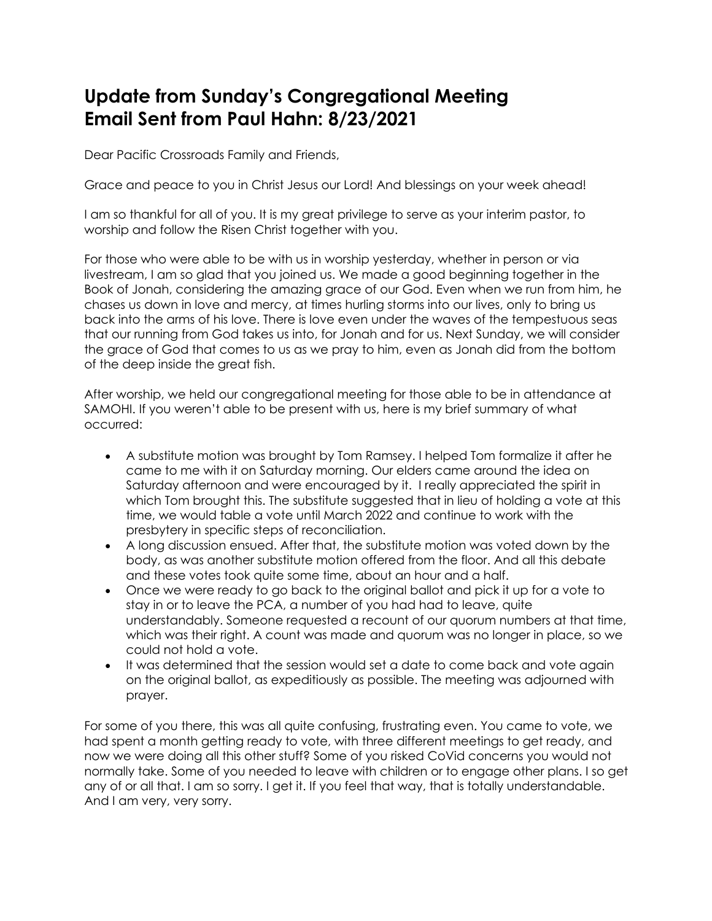## **Update from Sunday's Congregational Meeting Email Sent from Paul Hahn: 8/23/2021**

Dear Pacific Crossroads Family and Friends,

Grace and peace to you in Christ Jesus our Lord! And blessings on your week ahead!

I am so thankful for all of you. It is my great privilege to serve as your interim pastor, to worship and follow the Risen Christ together with you.

For those who were able to be with us in worship yesterday, whether in person or via livestream, I am so glad that you joined us. We made a good beginning together in the Book of Jonah, considering the amazing grace of our God. Even when we run from him, he chases us down in love and mercy, at times hurling storms into our lives, only to bring us back into the arms of his love. There is love even under the waves of the tempestuous seas that our running from God takes us into, for Jonah and for us. Next Sunday, we will consider the grace of God that comes to us as we pray to him, even as Jonah did from the bottom of the deep inside the great fish.

After worship, we held our congregational meeting for those able to be in attendance at SAMOHI. If you weren't able to be present with us, here is my brief summary of what occurred:

- A substitute motion was brought by Tom Ramsey. I helped Tom formalize it after he came to me with it on Saturday morning. Our elders came around the idea on Saturday afternoon and were encouraged by it. I really appreciated the spirit in which Tom brought this. The substitute suggested that in lieu of holding a vote at this time, we would table a vote until March 2022 and continue to work with the presbytery in specific steps of reconciliation.
- A long discussion ensued. After that, the substitute motion was voted down by the body, as was another substitute motion offered from the floor. And all this debate and these votes took quite some time, about an hour and a half.
- Once we were ready to go back to the original ballot and pick it up for a vote to stay in or to leave the PCA, a number of you had had to leave, quite understandably. Someone requested a recount of our quorum numbers at that time, which was their right. A count was made and quorum was no longer in place, so we could not hold a vote.
- It was determined that the session would set a date to come back and vote again on the original ballot, as expeditiously as possible. The meeting was adjourned with prayer.

For some of you there, this was all quite confusing, frustrating even. You came to vote, we had spent a month getting ready to vote, with three different meetings to get ready, and now we were doing all this other stuff? Some of you risked CoVid concerns you would not normally take. Some of you needed to leave with children or to engage other plans. I so get any of or all that. I am so sorry. I get it. If you feel that way, that is totally understandable. And I am very, very sorry.